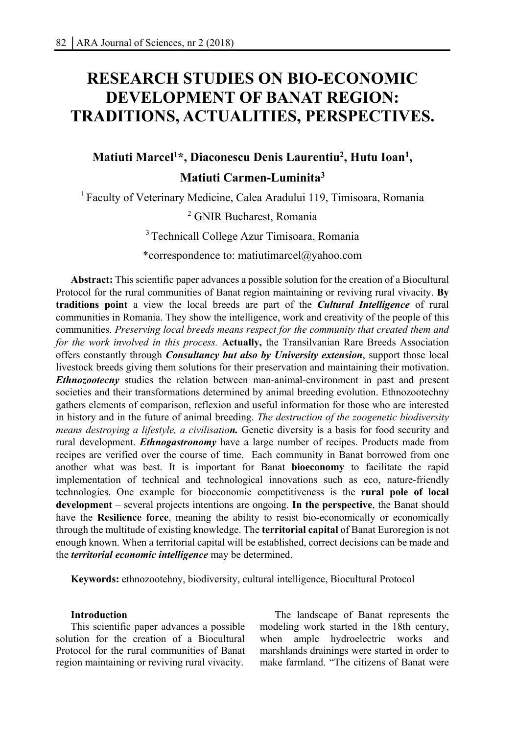# **RESEARCH STUDIES ON BIO-ECONOMIC DEVELOPMENT OF BANAT REGION: TRADITIONS, ACTUALITIES, PERSPECTIVES.**

## **Matiuti Marcel1 \*, Diaconescu Denis Laurentiu2 , Hutu Ioan1 , Matiuti Carmen-Luminita3**

1 Faculty of Veterinary Medicine, Calea Aradului 119, Timisoara, Romania

2 GNIR Bucharest, Romania

3 Technicall College Azur Timisoara, Romania

\*correspondence to: matiutimarcel@yahoo.com

**Abstract:** This scientific paper advances a possible solution for the creation of a Biocultural Protocol for the rural communities of Banat region maintaining or reviving rural vivacity. **By traditions point** a view the local breeds are part of the *Cultural Intelligence* of rural communities in Romania. They show the intelligence, work and creativity of the people of this communities. *Preserving local breeds means respect for the community that created them and for the work involved in this process.* **Actually,** the Transilvanian Rare Breeds Association offers constantly through *Consultancy but also by University extension*, support those local livestock breeds giving them solutions for their preservation and maintaining their motivation. *Ethnozootecny* studies the relation between man-animal-environment in past and present societies and their transformations determined by animal breeding evolution. Ethnozootechny gathers elements of comparison, reflexion and useful information for those who are interested in history and in the future of animal breeding. *The destruction of the zoogenetic biodiversity means destroying a lifestyle, a civilisation*. Genetic diversity is a basis for food security and rural development. *Ethnogastronomy* have a large number of recipes. Products made from recipes are verified over the course of time. Each community in Banat borrowed from one another what was best. It is important for Banat **bioeconomy** to facilitate the rapid implementation of technical and technological innovations such as eco, nature-friendly technologies. One example for bioeconomic competitiveness is the **rural pole of local development** – several projects intentions are ongoing. **In the perspective**, the Banat should have the **Resilience force**, meaning the ability to resist bio-economically or economically through the multitude of existing knowledge. The **territorial capital** of Banat Euroregion is not enough known. When a territorial capital will be established, correct decisions can be made and the *territorial economic intelligence* may be determined.

**Keywords:** ethnozootehny, biodiversity, cultural intelligence, Biocultural Protocol

#### **Introduction**

This scientific paper advances a possible solution for the creation of a Biocultural Protocol for the rural communities of Banat region maintaining or reviving rural vivacity.

The landscape of Banat represents the modeling work started in the 18th century, when ample hydroelectric works and marshlands drainings were started in order to make farmland. "The citizens of Banat were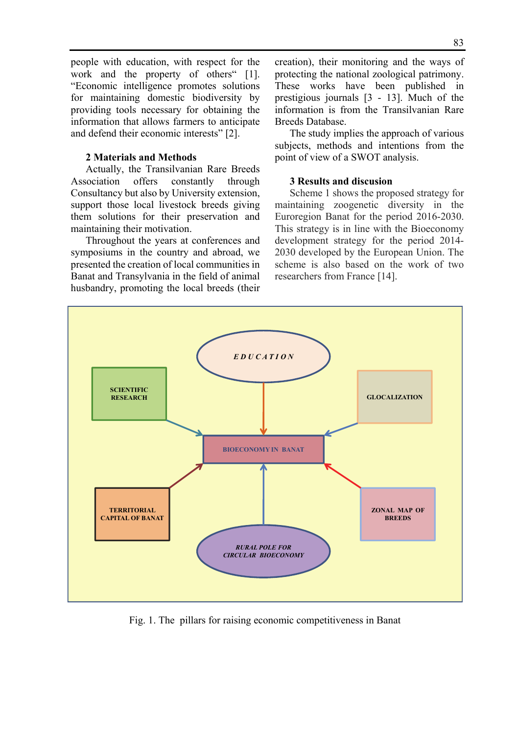people with education, with respect for the work and the property of others" [1]. "Economic intelligence promotes solutions for maintaining domestic biodiversity by providing tools necessary for obtaining the information that allows farmers to anticipate and defend their economic interests" [2].

#### **2 Materials and Methods**

Actually, the Transilvanian Rare Breeds Association offers constantly through Consultancy but also by University extension, support those local livestock breeds giving them solutions for their preservation and maintaining their motivation.

Throughout the years at conferences and symposiums in the country and abroad, we presented the creation of local communities in Banat and Transylvania in the field of animal husbandry, promoting the local breeds (their creation), their monitoring and the ways of protecting the national zoological patrimony. These works have been published in prestigious journals [3 - 13]. Much of the information is from the Transilvanian Rare Breeds Database.

The study implies the approach of various subjects, methods and intentions from the point of view of a SWOT analysis.

#### **3 Results and discusion**

Scheme 1 shows the proposed strategy for maintaining zoogenetic diversity in the Euroregion Banat for the period 2016-2030. This strategy is in line with the Bioeconomy development strategy for the period 2014- 2030 developed by the European Union. The scheme is also based on the work of two researchers from France [14].



Fig. 1. The pillars for raising economic competitiveness in Banat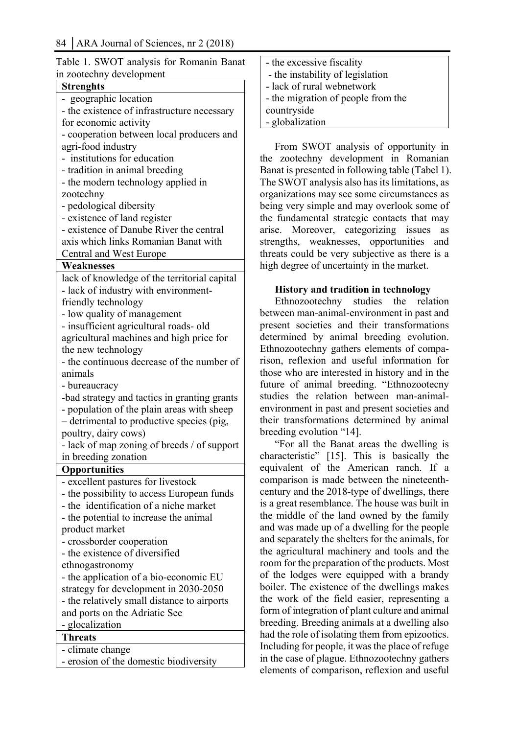| Table 1. SWOT analysis for Romanin Banat                                             |
|--------------------------------------------------------------------------------------|
| in zootechny development                                                             |
| <b>Strenghts</b>                                                                     |
| - geographic location                                                                |
| - the existence of infrastructure necessary                                          |
| for economic activity                                                                |
| - cooperation between local producers and                                            |
| agri-food industry                                                                   |
| institutions for education<br>$\overline{a}$                                         |
| - tradition in animal breeding                                                       |
| - the modern technology applied in                                                   |
| zootechny                                                                            |
| - pedological dibersity                                                              |
| - existence of land register                                                         |
| - existence of Danube River the central                                              |
| axis which links Romanian Banat with                                                 |
| Central and West Europe                                                              |
| Weaknesses                                                                           |
| lack of knowledge of the territorial capital                                         |
| - lack of industry with environment-                                                 |
| friendly technology                                                                  |
| - low quality of management                                                          |
| - insufficient agricultural roads- old                                               |
| agricultural machines and high price for                                             |
| the new technology                                                                   |
| - the continuous decrease of the number of                                           |
| animals                                                                              |
| - bureaucracy                                                                        |
| -bad strategy and tactics in granting grants                                         |
| - population of the plain areas with sheep                                           |
| - detrimental to productive species (pig,                                            |
| poultry, dairy cows)                                                                 |
| - lack of map zoning of breeds / of support                                          |
| in breeding zonation                                                                 |
|                                                                                      |
| Opportunities<br>- excellent pastures for livestock                                  |
|                                                                                      |
| - the possibility to access European funds<br>- the identification of a niche market |
|                                                                                      |
| - the potential to increase the animal                                               |
| product market                                                                       |
| - crossborder cooperation                                                            |
| - the existence of diversified                                                       |
| ethnogastronomy                                                                      |
| - the application of a bio-economic EU                                               |
| strategy for development in 2030-2050                                                |
| - the relatively small distance to airports                                          |
| and ports on the Adriatic See                                                        |
| - glocalization                                                                      |
| <b>Threats</b>                                                                       |
| - climate change                                                                     |
| - erosion of the domestic biodiversity                                               |

|                          |  |  |  | Table 1. SWOT analysis for Romanin Banat |  |
|--------------------------|--|--|--|------------------------------------------|--|
| in zootechny development |  |  |  |                                          |  |

| - the excessive fiscality          |
|------------------------------------|
| - the instability of legislation   |
| - lack of rural webnetwork         |
| - the migration of people from the |
| countryside                        |
| - globalization                    |

From SWOT analysis of opportunity in the zootechny development in Romanian Banat is presented in following table (Tabel 1). The SWOT analysis also has its limitations, as organizations may see some circumstances as being very simple and may overlook some of the fundamental strategic contacts that may arise. Moreover, categorizing issues as strengths, weaknesses, opportunities and threats could be very subjective as there is a high degree of uncertainty in the market.

#### **History and tradition in technology**

Ethnozootechny studies the relation between man-animal-environment in past and present societies and their transformations determined by animal breeding evolution. Ethnozootechny gathers elements of comparison, reflexion and useful information for those who are interested in history and in the future of animal breeding. "Ethnozootecny studies the relation between man-animalenvironment in past and present societies and their transformations determined by animal breeding evolution "14].

"For all the Banat areas the dwelling is characteristic" [15]. This is basically the equivalent of the American ranch. If a comparison is made between the nineteenthcentury and the 2018-type of dwellings, there is a great resemblance. The house was built in the middle of the land owned by the family and was made up of a dwelling for the people and separately the shelters for the animals, for the agricultural machinery and tools and the room for the preparation of the products. Most of the lodges were equipped with a brandy boiler. The existence of the dwellings makes the work of the field easier, representing a form of integration of plant culture and animal breeding. Breeding animals at a dwelling also had the role of isolating them from epizootics. Including for people, it was the place of refuge in the case of plague. Ethnozootechny gathers elements of comparison, reflexion and useful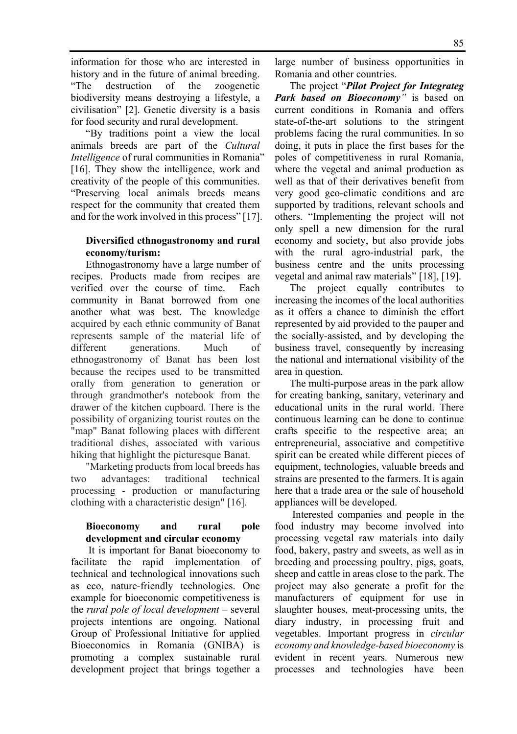information for those who are interested in history and in the future of animal breeding. "The destruction of the zoogenetic biodiversity means destroying a lifestyle, a civilisation" [2]. Genetic diversity is a basis for food security and rural development.

"By traditions point a view the local animals breeds are part of the *Cultural Intelligence* of rural communities in Romania" [16]. They show the intelligence, work and creativity of the people of this communities. "Preserving local animals breeds means respect for the community that created them and for the work involved in this process" [17].

#### **Diversified ethnogastronomy and rural economy/turism:**

Ethnogastronomy have a large number of recipes. Products made from recipes are verified over the course of time. Each community in Banat borrowed from one another what was best. The knowledge acquired by each ethnic community of Banat represents sample of the material life of different generations. Much of ethnogastronomy of Banat has been lost because the recipes used to be transmitted orally from generation to generation or through grandmother's notebook from the drawer of the kitchen cupboard. There is the possibility of organizing tourist routes on the "map" Banat following places with different traditional dishes, associated with various hiking that highlight the picturesque Banat.

"Marketing products from local breeds has two advantages: traditional technical processing - production or manufacturing clothing with a characteristic design" [16].

## **Bioeconomy and rural pole development and circular economy**

 It is important for Banat bioeconomy to facilitate the rapid implementation of technical and technological innovations such as eco, nature-friendly technologies. One example for bioeconomic competitiveness is the *rural pole of local development* – several projects intentions are ongoing. National Group of Professional Initiative for applied Bioeconomics in Romania (GNIBA) is promoting a complex sustainable rural development project that brings together a

large number of business opportunities in Romania and other countries.

The project "*Pilot Project for Integrateg Park based on Bioeconomy"* is based on current conditions in Romania and offers state-of-the-art solutions to the stringent problems facing the rural communities. In so doing, it puts in place the first bases for the poles of competitiveness in rural Romania, where the vegetal and animal production as well as that of their derivatives benefit from very good geo-climatic conditions and are supported by traditions, relevant schools and others. "Implementing the project will not only spell a new dimension for the rural economy and society, but also provide jobs with the rural agro-industrial park, the business centre and the units processing vegetal and animal raw materials" [18], [19].

The project equally contributes to increasing the incomes of the local authorities as it offers a chance to diminish the effort represented by aid provided to the pauper and the socially-assisted, and by developing the business travel, consequently by increasing the national and international visibility of the area in question.

The multi-purpose areas in the park allow for creating banking, sanitary, veterinary and educational units in the rural world. There continuous learning can be done to continue crafts specific to the respective area; an entrepreneurial, associative and competitive spirit can be created while different pieces of equipment, technologies, valuable breeds and strains are presented to the farmers. It is again here that a trade area or the sale of household appliances will be developed.

 Interested companies and people in the food industry may become involved into processing vegetal raw materials into daily food, bakery, pastry and sweets, as well as in breeding and processing poultry, pigs, goats, sheep and cattle in areas close to the park. The project may also generate a profit for the manufacturers of equipment for use in slaughter houses, meat-processing units, the diary industry, in processing fruit and vegetables. Important progress in *circular economy and knowledge-based bioeconomy* is evident in recent years. Numerous new processes and technologies have been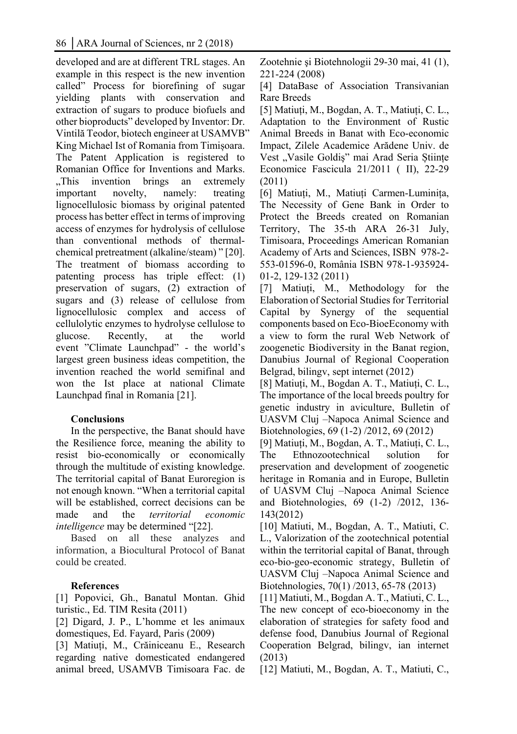developed and are at different TRL stages. An example in this respect is the new invention called" Process for biorefining of sugar yielding plants with conservation and extraction of sugars to produce biofuels and other bioproducts" developed by Inventor: Dr. Vintilă Teodor, biotech engineer at USAMVB" King Michael Ist of Romania from Timișoara. The Patent Application is registered to Romanian Office for Inventions and Marks. "This invention brings an extremely" important novelty, namely: treating lignocellulosic biomass by original patented process has better effect in terms of improving access of enzymes for hydrolysis of cellulose than conventional methods of thermalchemical pretreatment (alkaline/steam) " [20]. The treatment of biomass according to patenting process has triple effect: (1) preservation of sugars, (2) extraction of sugars and (3) release of cellulose from lignocellulosic complex and access of cellulolytic enzymes to hydrolyse cellulose to glucose. Recently, at the world event "Climate Launchpad" - the world's largest green business ideas competition, the invention reached the world semifinal and won the Ist place at national Climate Launchpad final in Romania [21].

## **Conclusions**

In the perspective, the Banat should have the Resilience force, meaning the ability to resist bio-economically or economically through the multitude of existing knowledge. The territorial capital of Banat Euroregion is not enough known. "When a territorial capital will be established, correct decisions can be made and the *territorial economic intelligence* may be determined "[22].

Based on all these analyzes and information, a Biocultural Protocol of Banat could be created.

## **References**

[1] Popovici, Gh., Banatul Montan. Ghid turistic., Ed. TIM Resita (2011)

[2] Digard, J. P., L'homme et les animaux domestiques, Ed. Fayard, Paris (2009)

[3] Matiuți, M., Crăiniceanu E., Research regarding native domesticated endangered animal breed, USAMVB Timisoara Fac. de Zootehnie şi Biotehnologii 29-30 mai, 41 (1), 221-224 (2008)

[4] DataBase of Association Transivanian Rare Breeds

[5] Matiuți, M., Bogdan, A. T., Matiuți, C. L., Adaptation to the Environment of Rustic Animal Breeds in Banat with Eco-economic Impact, Zilele Academice Arădene Univ. de Vest "Vasile Goldiș" mai Arad Seria Științe Economice Fascicula 21/2011 ( II), 22-29 (2011)

[6] Matiuți, M., Matiuți Carmen-Luminița, The Necessity of Gene Bank in Order to Protect the Breeds created on Romanian Territory, The 35-th ARA 26-31 July, Timisoara, Proceedings American Romanian Academy of Arts and Sciences, ISBN 978-2- 553-01596-0, România ISBN 978-1-935924- 01-2, 129-132 (2011)

[7] Matiuți, M., Methodology for the Elaboration of Sectorial Studies for Territorial Capital by Synergy of the sequential components based on Eco-BioeEconomy with a view to form the rural Web Network of zoogenetic Biodiversity in the Banat region, Danubius Journal of Regional Cooperation Belgrad, bilingv, sept internet (2012)

[8] Matiuți, M., Bogdan A. T., Matiuți, C. L., The importance of the local breeds poultry for genetic industry in aviculture, Bulletin of UASVM Cluj –Napoca Animal Science and Biotehnologies, 69 (1-2) /2012, 69 (2012)

[9] Matiuți, M., Bogdan, A. T., Matiuți, C. L., The Ethnozootechnical solution for preservation and development of zoogenetic heritage in Romania and in Europe, Bulletin of UASVM Cluj –Napoca Animal Science and Biotehnologies, 69 (1-2) /2012, 136- 143(2012)

[10] Matiuti, M., Bogdan, A. T., Matiuti, C. L., Valorization of the zootechnical potential within the territorial capital of Banat, through eco-bio-geo-economic strategy, Bulletin of UASVM Cluj –Napoca Animal Science and Biotehnologies, 70(1) /2013, 65-78 (2013)

[11] Matiuti, M., Bogdan A. T., Matiuti, C. L., The new concept of eco-bioeconomy in the elaboration of strategies for safety food and defense food, Danubius Journal of Regional Cooperation Belgrad, bilingv, ian internet (2013)

[12] Matiuti, M., Bogdan, A. T., Matiuti, C.,